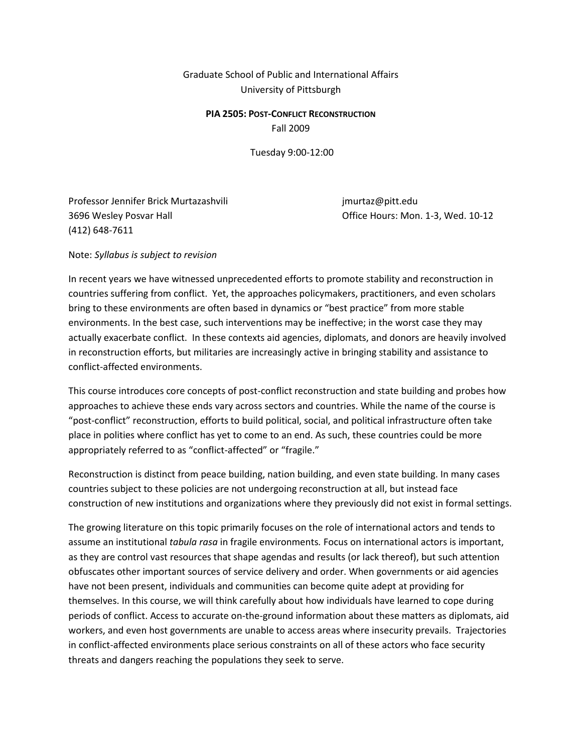Graduate School of Public and International Affairs University of Pittsburgh

#### **PIA 2505: POST-CONFLICT RECONSTRUCTION** Fall 2009

Tuesday 9:00-12:00

Professor Jennifer Brick Murtazashvili international professor Jennifer Brick Murtazashvili 3696 Wesley Posvar Hall Office Hours: Mon. 1-3, Wed. 10-12 (412) 648-7611

Note: *Syllabus is subject to revision*

In recent years we have witnessed unprecedented efforts to promote stability and reconstruction in countries suffering from conflict. Yet, the approaches policymakers, practitioners, and even scholars bring to these environments are often based in dynamics or "best practice" from more stable environments. In the best case, such interventions may be ineffective; in the worst case they may actually exacerbate conflict. In these contexts aid agencies, diplomats, and donors are heavily involved in reconstruction efforts, but militaries are increasingly active in bringing stability and assistance to conflict-affected environments.

This course introduces core concepts of post-conflict reconstruction and state building and probes how approaches to achieve these ends vary across sectors and countries. While the name of the course is "post-conflict" reconstruction, efforts to build political, social, and political infrastructure often take place in polities where conflict has yet to come to an end. As such, these countries could be more appropriately referred to as "conflict-affected" or "fragile."

Reconstruction is distinct from peace building, nation building, and even state building. In many cases countries subject to these policies are not undergoing reconstruction at all, but instead face construction of new institutions and organizations where they previously did not exist in formal settings.

The growing literature on this topic primarily focuses on the role of international actors and tends to assume an institutional *tabula rasa* in fragile environments*.* Focus on international actors is important, as they are control vast resources that shape agendas and results (or lack thereof), but such attention obfuscates other important sources of service delivery and order. When governments or aid agencies have not been present, individuals and communities can become quite adept at providing for themselves. In this course, we will think carefully about how individuals have learned to cope during periods of conflict. Access to accurate on-the-ground information about these matters as diplomats, aid workers, and even host governments are unable to access areas where insecurity prevails. Trajectories in conflict-affected environments place serious constraints on all of these actors who face security threats and dangers reaching the populations they seek to serve.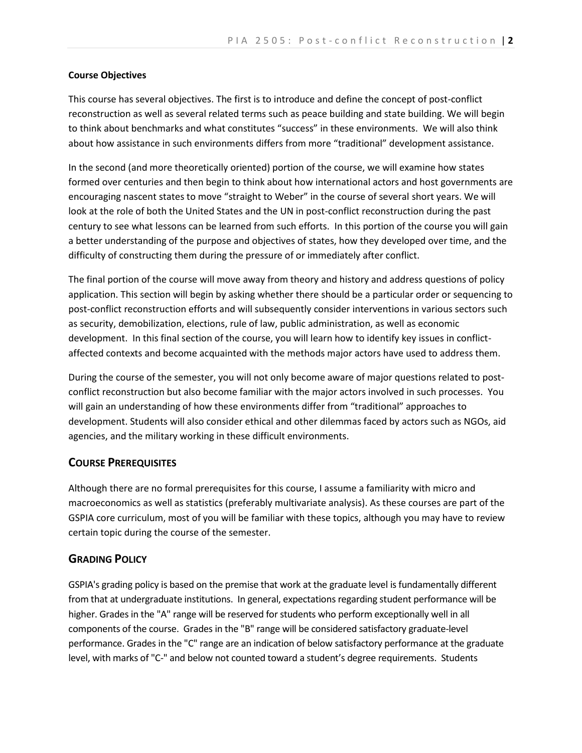#### **Course Objectives**

This course has several objectives. The first is to introduce and define the concept of post-conflict reconstruction as well as several related terms such as peace building and state building. We will begin to think about benchmarks and what constitutes "success" in these environments. We will also think about how assistance in such environments differs from more "traditional" development assistance.

In the second (and more theoretically oriented) portion of the course, we will examine how states formed over centuries and then begin to think about how international actors and host governments are encouraging nascent states to move "straight to Weber" in the course of several short years. We will look at the role of both the United States and the UN in post-conflict reconstruction during the past century to see what lessons can be learned from such efforts. In this portion of the course you will gain a better understanding of the purpose and objectives of states, how they developed over time, and the difficulty of constructing them during the pressure of or immediately after conflict.

The final portion of the course will move away from theory and history and address questions of policy application. This section will begin by asking whether there should be a particular order or sequencing to post-conflict reconstruction efforts and will subsequently consider interventions in various sectors such as security, demobilization, elections, rule of law, public administration, as well as economic development. In this final section of the course, you will learn how to identify key issues in conflictaffected contexts and become acquainted with the methods major actors have used to address them.

During the course of the semester, you will not only become aware of major questions related to postconflict reconstruction but also become familiar with the major actors involved in such processes. You will gain an understanding of how these environments differ from "traditional" approaches to development. Students will also consider ethical and other dilemmas faced by actors such as NGOs, aid agencies, and the military working in these difficult environments.

### **COURSE PREREQUISITES**

Although there are no formal prerequisites for this course, I assume a familiarity with micro and macroeconomics as well as statistics (preferably multivariate analysis). As these courses are part of the GSPIA core curriculum, most of you will be familiar with these topics, although you may have to review certain topic during the course of the semester.

## **GRADING POLICY**

GSPIA's grading policy is based on the premise that work at the graduate level is fundamentally different from that at undergraduate institutions. In general, expectations regarding student performance will be higher. Grades in the "A" range will be reserved for students who perform exceptionally well in all components of the course. Grades in the "B" range will be considered satisfactory graduate-level performance. Grades in the "C" range are an indication of below satisfactory performance at the graduate level, with marks of "C-" and below not counted toward a student's degree requirements. Students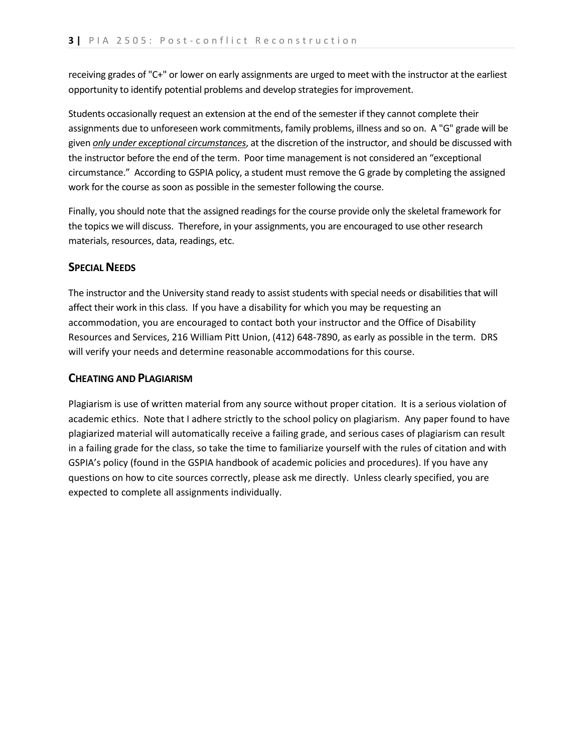receiving grades of "C+" or lower on early assignments are urged to meet with the instructor at the earliest opportunity to identify potential problems and develop strategies for improvement.

Students occasionally request an extension at the end of the semester if they cannot complete their assignments due to unforeseen work commitments, family problems, illness and so on. A "G" grade will be given *only under exceptional circumstances*, at the discretion of the instructor, and should be discussed with the instructor before the end of the term. Poor time management is not considered an "exceptional circumstance." According to GSPIA policy, a student must remove the G grade by completing the assigned work for the course as soon as possible in the semester following the course.

Finally, you should note that the assigned readings for the course provide only the skeletal framework for the topics we will discuss. Therefore, in your assignments, you are encouraged to use other research materials, resources, data, readings, etc.

## **SPECIAL NEEDS**

The instructor and the University stand ready to assist students with special needs or disabilities that will affect their work in this class. If you have a disability for which you may be requesting an accommodation, you are encouraged to contact both your instructor and the Office of Disability Resources and Services, 216 William Pitt Union, (412) 648-7890, as early as possible in the term. DRS will verify your needs and determine reasonable accommodations for this course.

## **CHEATING AND PLAGIARISM**

Plagiarism is use of written material from any source without proper citation. It is a serious violation of academic ethics. Note that I adhere strictly to the school policy on plagiarism. Any paper found to have plagiarized material will automatically receive a failing grade, and serious cases of plagiarism can result in a failing grade for the class, so take the time to familiarize yourself with the rules of citation and with GSPIA's policy (found in the GSPIA handbook of academic policies and procedures). If you have any questions on how to cite sources correctly, please ask me directly. Unless clearly specified, you are expected to complete all assignments individually.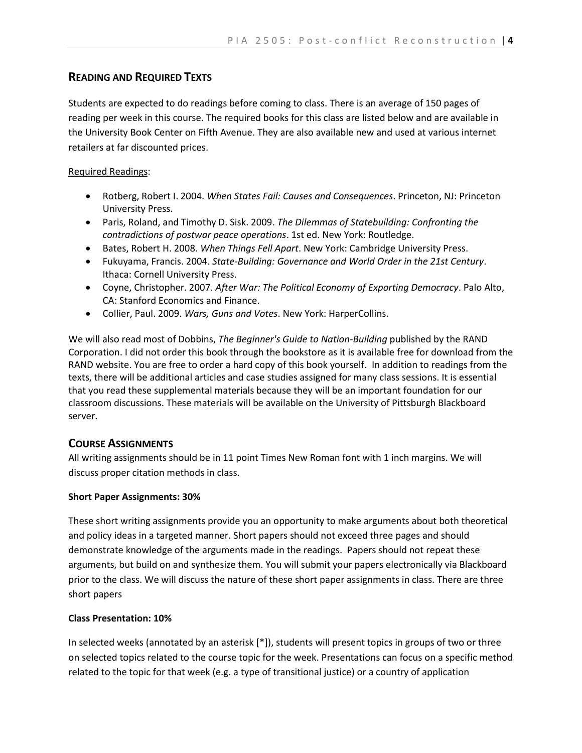# **READING AND REQUIRED TEXTS**

Students are expected to do readings before coming to class. There is an average of 150 pages of reading per week in this course. The required books for this class are listed below and are available in the University Book Center on Fifth Avenue. They are also available new and used at various internet retailers at far discounted prices.

## Required Readings:

- Rotberg, Robert I. 2004. *When States Fail: Causes and Consequences*. Princeton, NJ: Princeton University Press.
- Paris, Roland, and Timothy D. Sisk. 2009. *The Dilemmas of Statebuilding: Confronting the contradictions of postwar peace operations*. 1st ed. New York: Routledge.
- Bates, Robert H. 2008. *When Things Fell Apart*. New York: Cambridge University Press.
- Fukuyama, Francis. 2004. *State-Building: Governance and World Order in the 21st Century*. Ithaca: Cornell University Press.
- Coyne, Christopher. 2007. *After War: The Political Economy of Exporting Democracy*. Palo Alto, CA: Stanford Economics and Finance.
- Collier, Paul. 2009. *Wars, Guns and Votes*. New York: HarperCollins.

We will also read most of Dobbins, *The Beginner's Guide to Nation-Building* published by the RAND Corporation. I did not order this book through the bookstore as it is available free for download from the RAND website. You are free to order a hard copy of this book yourself. In addition to readings from the texts, there will be additional articles and case studies assigned for many class sessions. It is essential that you read these supplemental materials because they will be an important foundation for our classroom discussions. These materials will be available on the University of Pittsburgh Blackboard server.

# **COURSE ASSIGNMENTS**

All writing assignments should be in 11 point Times New Roman font with 1 inch margins. We will discuss proper citation methods in class.

## **Short Paper Assignments: 30%**

These short writing assignments provide you an opportunity to make arguments about both theoretical and policy ideas in a targeted manner. Short papers should not exceed three pages and should demonstrate knowledge of the arguments made in the readings. Papers should not repeat these arguments, but build on and synthesize them. You will submit your papers electronically via Blackboard prior to the class. We will discuss the nature of these short paper assignments in class. There are three short papers

## **Class Presentation: 10%**

In selected weeks (annotated by an asterisk [\*]), students will present topics in groups of two or three on selected topics related to the course topic for the week. Presentations can focus on a specific method related to the topic for that week (e.g. a type of transitional justice) or a country of application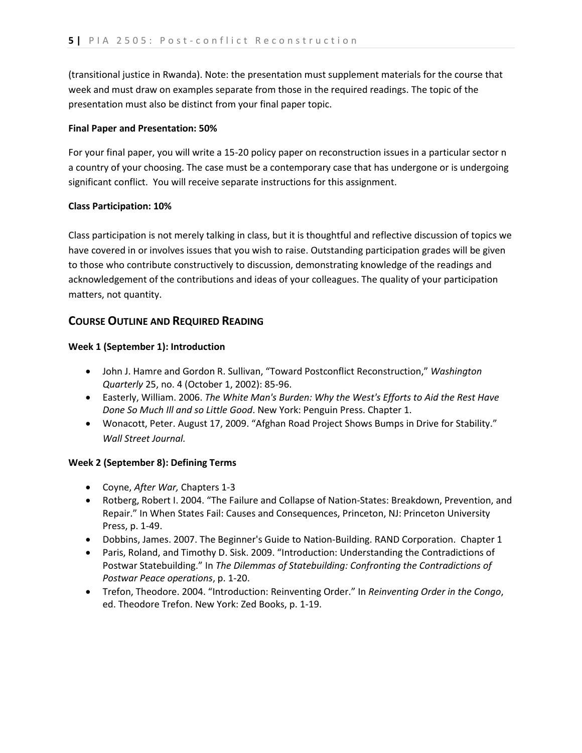(transitional justice in Rwanda). Note: the presentation must supplement materials for the course that week and must draw on examples separate from those in the required readings. The topic of the presentation must also be distinct from your final paper topic.

#### **Final Paper and Presentation: 50%**

For your final paper, you will write a 15-20 policy paper on reconstruction issues in a particular sector n a country of your choosing. The case must be a contemporary case that has undergone or is undergoing significant conflict. You will receive separate instructions for this assignment.

### **Class Participation: 10%**

Class participation is not merely talking in class, but it is thoughtful and reflective discussion of topics we have covered in or involves issues that you wish to raise. Outstanding participation grades will be given to those who contribute constructively to discussion, demonstrating knowledge of the readings and acknowledgement of the contributions and ideas of your colleagues. The quality of your participation matters, not quantity.

## **COURSE OUTLINE AND REQUIRED READING**

### **Week 1 (September 1): Introduction**

- John J. Hamre and Gordon R. Sullivan, "Toward Postconflict Reconstruction," *Washington Quarterly* 25, no. 4 (October 1, 2002): 85-96.
- Easterly, William. 2006. *The White Man's Burden: Why the West's Efforts to Aid the Rest Have Done So Much Ill and so Little Good*. New York: Penguin Press. Chapter 1.
- Wonacott, Peter. August 17, 2009. "Afghan Road Project Shows Bumps in Drive for Stability." *Wall Street Journal.*

#### **Week 2 (September 8): Defining Terms**

- Coyne, *After War,* Chapters 1-3
- Rotberg, Robert I. 2004. "The Failure and Collapse of Nation-States: Breakdown, Prevention, and Repair." In When States Fail: Causes and Consequences, Princeton, NJ: Princeton University Press, p. 1-49.
- Dobbins, James. 2007. The Beginner's Guide to Nation-Building. RAND Corporation. Chapter 1
- Paris, Roland, and Timothy D. Sisk. 2009. "Introduction: Understanding the Contradictions of Postwar Statebuilding." In *The Dilemmas of Statebuilding: Confronting the Contradictions of Postwar Peace operations*, p. 1-20.
- Trefon, Theodore. 2004. "Introduction: Reinventing Order." In *Reinventing Order in the Congo*, ed. Theodore Trefon. New York: Zed Books, p. 1-19.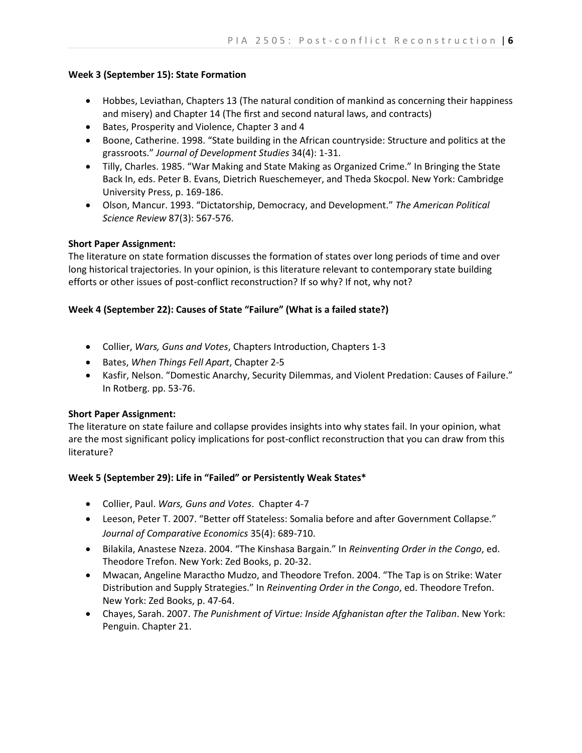### **Week 3 (September 15): State Formation**

- Hobbes, Leviathan, Chapters 13 (The natural condition of mankind as concerning their happiness and misery) and Chapter 14 (The first and second natural laws, and contracts)
- Bates, Prosperity and Violence, Chapter 3 and 4
- Boone, Catherine. 1998. "State building in the African countryside: Structure and politics at the grassroots." *Journal of Development Studies* 34(4): 1-31.
- Tilly, Charles. 1985. "War Making and State Making as Organized Crime." In Bringing the State Back In, eds. Peter B. Evans, Dietrich Rueschemeyer, and Theda Skocpol. New York: Cambridge University Press, p. 169-186.
- Olson, Mancur. 1993. "Dictatorship, Democracy, and Development." *The American Political Science Review* 87(3): 567-576.

### **Short Paper Assignment:**

The literature on state formation discusses the formation of states over long periods of time and over long historical trajectories. In your opinion, is this literature relevant to contemporary state building efforts or other issues of post-conflict reconstruction? If so why? If not, why not?

### **Week 4 (September 22): Causes of State "Failure" (What is a failed state?)**

- Collier, *Wars, Guns and Votes*, Chapters Introduction, Chapters 1-3
- Bates, *When Things Fell Apart*, Chapter 2-5
- \* Kasfir, Nelson. "Domestic Anarchy, Security Dilemmas, and Violent Predation: Causes of Failure." In Rotberg. pp. 53-76.

### **Short Paper Assignment:**

The literature on state failure and collapse provides insights into why states fail. In your opinion, what are the most significant policy implications for post-conflict reconstruction that you can draw from this literature?

### **Week 5 (September 29): Life in "Failed" or Persistently Weak States\***

- Collier, Paul. *Wars, Guns and Votes*. Chapter 4-7
- Leeson, Peter T. 2007. "Better off Stateless: Somalia before and after Government Collapse." *Journal of Comparative Economics* 35(4): 689-710.
- Bilakila, Anastese Nzeza. 2004. "The Kinshasa Bargain." In *Reinventing Order in the Congo*, ed. Theodore Trefon. New York: Zed Books, p. 20-32.
- Mwacan, Angeline Maractho Mudzo, and Theodore Trefon. 2004. "The Tap is on Strike: Water Distribution and Supply Strategies." In *Reinventing Order in the Congo*, ed. Theodore Trefon. New York: Zed Books, p. 47-64.
- Chayes, Sarah. 2007. *The Punishment of Virtue: Inside Afghanistan after the Taliban*. New York: Penguin. Chapter 21.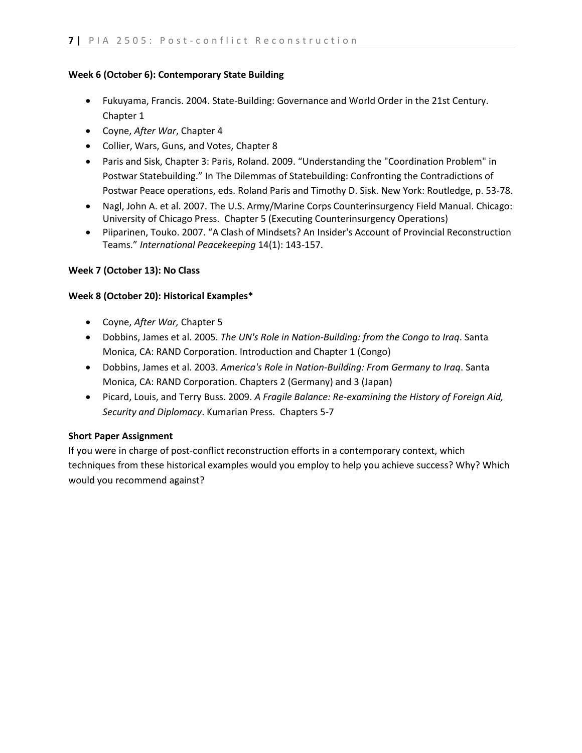# **Week 6 (October 6): Contemporary State Building**

- Fukuyama, Francis. 2004. State-Building: Governance and World Order in the 21st Century. Chapter 1
- Coyne, *After War*, Chapter 4
- Collier, Wars, Guns, and Votes, Chapter 8
- Paris and Sisk, Chapter 3: Paris, Roland. 2009. "Understanding the "Coordination Problem" in Postwar Statebuilding." In The Dilemmas of Statebuilding: Confronting the Contradictions of Postwar Peace operations, eds. Roland Paris and Timothy D. Sisk. New York: Routledge, p. 53-78.
- Nagl, John A. et al. 2007. The U.S. Army/Marine Corps Counterinsurgency Field Manual. Chicago: University of Chicago Press. Chapter 5 (Executing Counterinsurgency Operations)
- Piiparinen, Touko. 2007. "A Clash of Mindsets? An Insider's Account of Provincial Reconstruction Teams." *International Peacekeeping* 14(1): 143-157.

# **Week 7 (October 13): No Class**

# **Week 8 (October 20): Historical Examples\***

- Coyne, *After War,* Chapter 5
- Dobbins, James et al. 2005. *The UN's Role in Nation-Building: from the Congo to Iraq*. Santa Monica, CA: RAND Corporation. Introduction and Chapter 1 (Congo)
- Dobbins, James et al. 2003. *America's Role in Nation-Building: From Germany to Iraq*. Santa Monica, CA: RAND Corporation. Chapters 2 (Germany) and 3 (Japan)
- Picard, Louis, and Terry Buss. 2009. *A Fragile Balance: Re-examining the History of Foreign Aid, Security and Diplomacy*. Kumarian Press. Chapters 5-7

# **Short Paper Assignment**

If you were in charge of post-conflict reconstruction efforts in a contemporary context, which techniques from these historical examples would you employ to help you achieve success? Why? Which would you recommend against?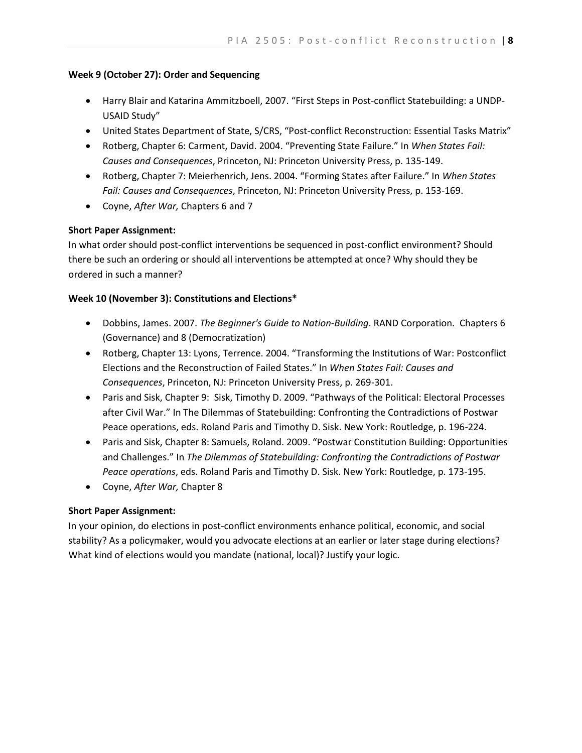### **Week 9 (October 27): Order and Sequencing**

- Harry Blair and Katarina Ammitzboell, 2007. "First Steps in Post-conflict Statebuilding: a UNDP-USAID Study"
- United States Department of State, S/CRS, "Post-conflict Reconstruction: Essential Tasks Matrix"
- Rotberg, Chapter 6: Carment, David. 2004. "Preventing State Failure." In *When States Fail: Causes and Consequences*, Princeton, NJ: Princeton University Press, p. 135-149.
- Rotberg, Chapter 7: Meierhenrich, Jens. 2004. "Forming States after Failure." In *When States Fail: Causes and Consequences*, Princeton, NJ: Princeton University Press, p. 153-169.
- Coyne, *After War,* Chapters 6 and 7

## **Short Paper Assignment:**

In what order should post-conflict interventions be sequenced in post-conflict environment? Should there be such an ordering or should all interventions be attempted at once? Why should they be ordered in such a manner?

## **Week 10 (November 3): Constitutions and Elections\***

- Dobbins, James. 2007. *The Beginner's Guide to Nation-Building*. RAND Corporation. Chapters 6 (Governance) and 8 (Democratization)
- Rotberg, Chapter 13: Lyons, Terrence. 2004. "Transforming the Institutions of War: Postconflict Elections and the Reconstruction of Failed States." In *When States Fail: Causes and Consequences*, Princeton, NJ: Princeton University Press, p. 269-301.
- Paris and Sisk, Chapter 9: Sisk, Timothy D. 2009. "Pathways of the Political: Electoral Processes after Civil War." In The Dilemmas of Statebuilding: Confronting the Contradictions of Postwar Peace operations, eds. Roland Paris and Timothy D. Sisk. New York: Routledge, p. 196-224.
- Paris and Sisk, Chapter 8: Samuels, Roland. 2009. "Postwar Constitution Building: Opportunities and Challenges." In *The Dilemmas of Statebuilding: Confronting the Contradictions of Postwar Peace operations*, eds. Roland Paris and Timothy D. Sisk. New York: Routledge, p. 173-195.
- Coyne, *After War,* Chapter 8

## **Short Paper Assignment:**

In your opinion, do elections in post-conflict environments enhance political, economic, and social stability? As a policymaker, would you advocate elections at an earlier or later stage during elections? What kind of elections would you mandate (national, local)? Justify your logic.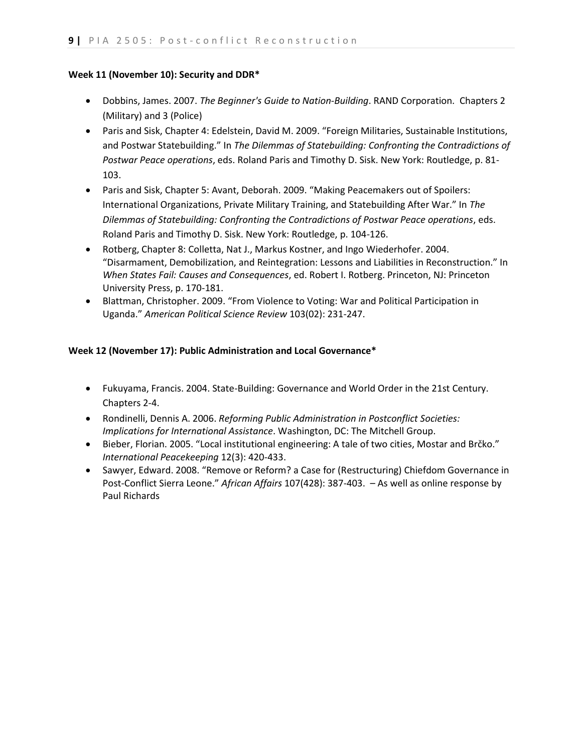#### **Week 11 (November 10): Security and DDR\***

- Dobbins, James. 2007. *The Beginner's Guide to Nation-Building*. RAND Corporation. Chapters 2 (Military) and 3 (Police)
- Paris and Sisk, Chapter 4: Edelstein, David M. 2009. "Foreign Militaries, Sustainable Institutions, and Postwar Statebuilding." In *The Dilemmas of Statebuilding: Confronting the Contradictions of Postwar Peace operations*, eds. Roland Paris and Timothy D. Sisk. New York: Routledge, p. 81- 103.
- Paris and Sisk, Chapter 5: Avant, Deborah. 2009. "Making Peacemakers out of Spoilers: International Organizations, Private Military Training, and Statebuilding After War." In *The Dilemmas of Statebuilding: Confronting the Contradictions of Postwar Peace operations*, eds. Roland Paris and Timothy D. Sisk. New York: Routledge, p. 104-126.
- Rotberg, Chapter 8: Colletta, Nat J., Markus Kostner, and Ingo Wiederhofer. 2004. "Disarmament, Demobilization, and Reintegration: Lessons and Liabilities in Reconstruction." In *When States Fail: Causes and Consequences*, ed. Robert I. Rotberg. Princeton, NJ: Princeton University Press, p. 170-181.
- Blattman, Christopher. 2009. "From Violence to Voting: War and Political Participation in Uganda." *American Political Science Review* 103(02): 231-247.

### **Week 12 (November 17): Public Administration and Local Governance\***

- Fukuyama, Francis. 2004. State-Building: Governance and World Order in the 21st Century. Chapters 2-4.
- Rondinelli, Dennis A. 2006. *Reforming Public Administration in Postconflict Societies: Implications for International Assistance*. Washington, DC: The Mitchell Group.
- Bieber, Florian. 2005. "Local institutional engineering: A tale of two cities, Mostar and Brčko." *International Peacekeeping* 12(3): 420-433.
- Sawyer, Edward. 2008. "Remove or Reform? a Case for (Restructuring) Chiefdom Governance in Post-Conflict Sierra Leone." *African Affairs* 107(428): 387-403. – As well as online response by Paul Richards